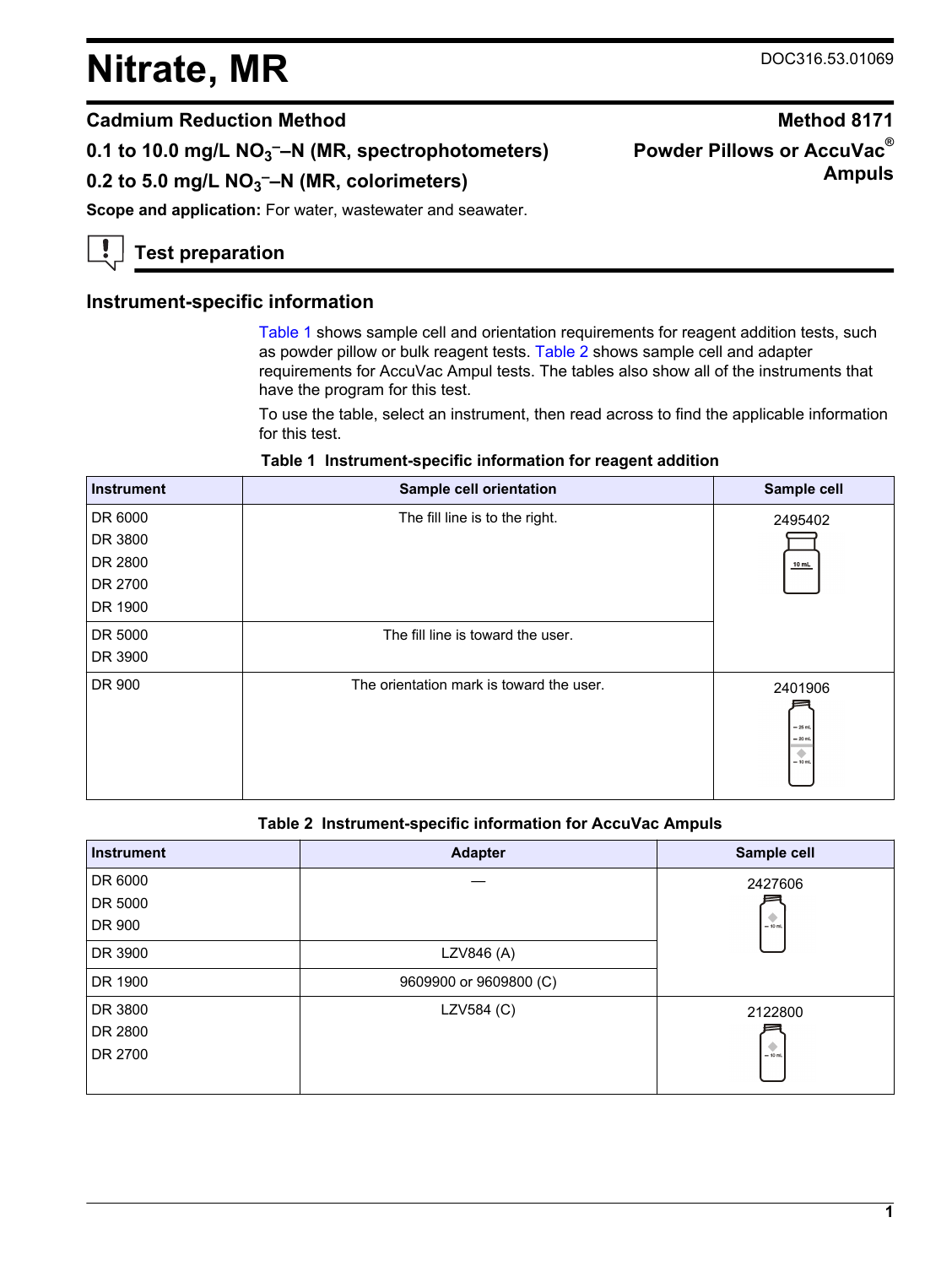# **Nitrate, MR** DOC316.53.01069

**Ampuls**

**Powder Pillows or AccuVac®**

## **Cadmium Reduction Method Method 8171**

**0.1 to 10.0 mg/L NO<sup>3</sup> ––N (MR, spectrophotometers)**

**0.2 to 5.0 mg/L NO<sup>3</sup> ––N (MR, colorimeters)**

**Scope and application:** For water, wastewater and seawater.

**Test preparation**

## **Instrument-specific information**

[Table 1](#page-0-0) shows sample cell and orientation requirements for reagent addition tests, such as powder pillow or bulk reagent tests. [Table 2](#page-0-1) shows sample cell and adapter requirements for AccuVac Ampul tests. The tables also show all of the instruments that have the program for this test.

To use the table, select an instrument, then read across to find the applicable information for this test.

|  |  | Table 1 Instrument-specific information for reagent addition |
|--|--|--------------------------------------------------------------|
|--|--|--------------------------------------------------------------|

<span id="page-0-2"></span><span id="page-0-0"></span>

| Instrument | Sample cell orientation                  | Sample cell                                        |
|------------|------------------------------------------|----------------------------------------------------|
| DR 6000    | The fill line is to the right.           | 2495402                                            |
| DR 3800    |                                          |                                                    |
| DR 2800    |                                          | $10$ mL                                            |
| DR 2700    |                                          |                                                    |
| DR 1900    |                                          |                                                    |
| DR 5000    | The fill line is toward the user.        |                                                    |
| DR 3900    |                                          |                                                    |
| DR 900     | The orientation mark is toward the user. | 2401906<br>$-25$ mL<br>$= 20$ mL<br>٠<br>$= 10$ mL |

#### **Table 2 Instrument-specific information for AccuVac Ampuls**

<span id="page-0-1"></span>

| <b>Instrument</b> | <b>Adapter</b>         | Sample cell |
|-------------------|------------------------|-------------|
| DR 6000           |                        | 2427606     |
| DR 5000           |                        |             |
| DR 900            |                        | $= 10$ mL   |
| DR 3900           | LZV846 (A)             |             |
| DR 1900           | 9609900 or 9609800 (C) |             |
| DR 3800           | LZV584 (C)             | 2122800     |
| DR 2800           |                        |             |
| DR 2700           |                        | $= 10$ mL   |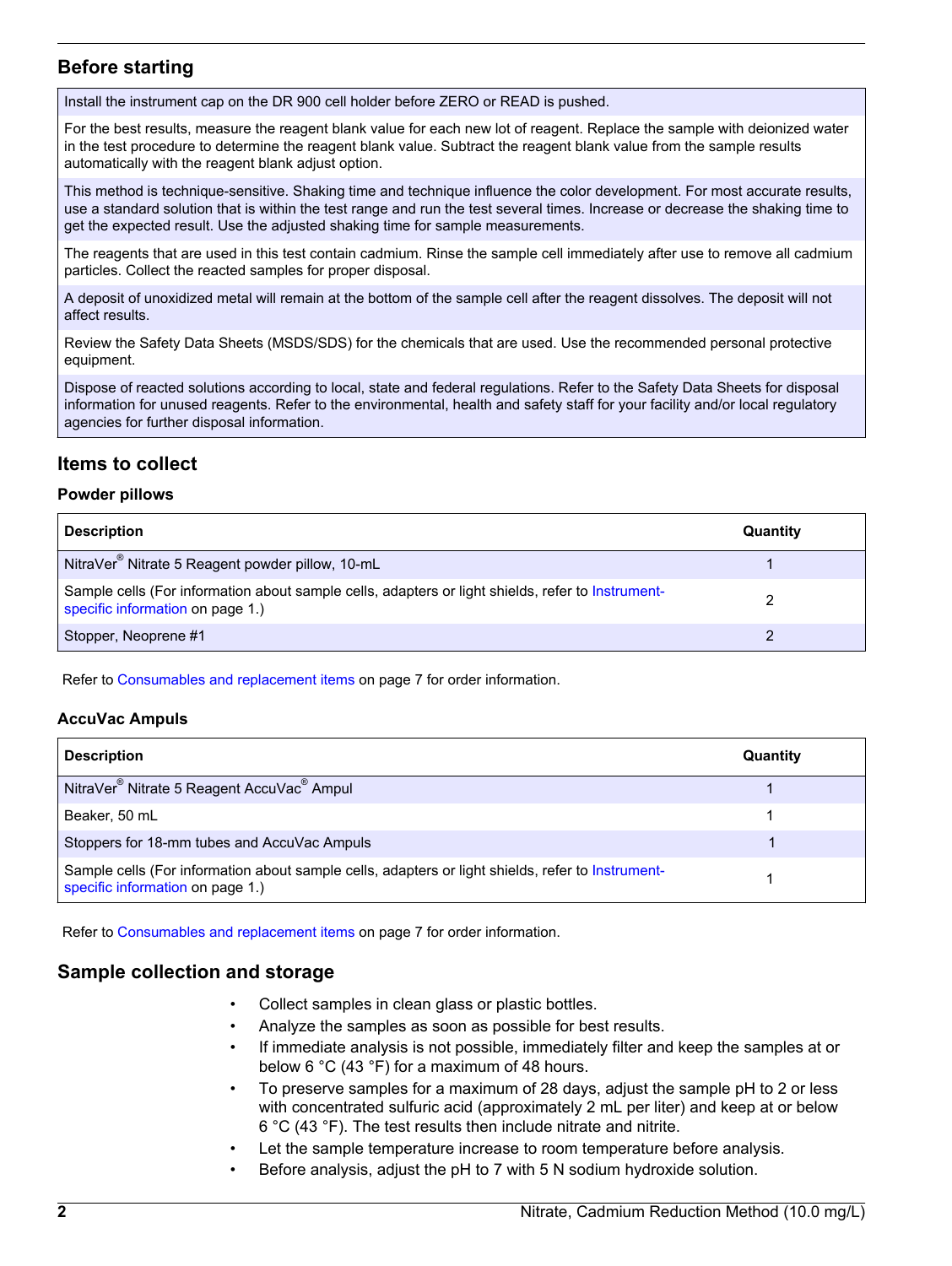## **Before starting**

Install the instrument cap on the DR 900 cell holder before ZERO or READ is pushed.

For the best results, measure the reagent blank value for each new lot of reagent. Replace the sample with deionized water in the test procedure to determine the reagent blank value. Subtract the reagent blank value from the sample results automatically with the reagent blank adjust option.

This method is technique-sensitive. Shaking time and technique influence the color development. For most accurate results, use a standard solution that is within the test range and run the test several times. Increase or decrease the shaking time to get the expected result. Use the adjusted shaking time for sample measurements.

The reagents that are used in this test contain cadmium. Rinse the sample cell immediately after use to remove all cadmium particles. Collect the reacted samples for proper disposal.

A deposit of unoxidized metal will remain at the bottom of the sample cell after the reagent dissolves. The deposit will not affect results.

Review the Safety Data Sheets (MSDS/SDS) for the chemicals that are used. Use the recommended personal protective equipment.

Dispose of reacted solutions according to local, state and federal regulations. Refer to the Safety Data Sheets for disposal information for unused reagents. Refer to the environmental, health and safety staff for your facility and/or local regulatory agencies for further disposal information.

## **Items to collect**

#### **Powder pillows**

| <b>Description</b>                                                                                                                    | Quantity |
|---------------------------------------------------------------------------------------------------------------------------------------|----------|
| NitraVer <sup>®</sup> Nitrate 5 Reagent powder pillow, 10-mL                                                                          |          |
| Sample cells (For information about sample cells, adapters or light shields, refer to Instrument-<br>specific information on page 1.) |          |
| Stopper, Neoprene #1                                                                                                                  |          |

Refer to [Consumables and replacement items](#page-6-0) on page 7 for order information.

#### **AccuVac Ampuls**

| <b>Description</b>                                                                                                                    | Quantity |
|---------------------------------------------------------------------------------------------------------------------------------------|----------|
| NitraVer <sup>®</sup> Nitrate 5 Reagent AccuVac <sup>®</sup> Ampul                                                                    |          |
| Beaker, 50 mL                                                                                                                         |          |
| Stoppers for 18-mm tubes and AccuVac Ampuls                                                                                           |          |
| Sample cells (For information about sample cells, adapters or light shields, refer to Instrument-<br>specific information on page 1.) |          |

Refer to [Consumables and replacement items](#page-6-0) on page 7 for order information.

### **Sample collection and storage**

- Collect samples in clean glass or plastic bottles.
- Analyze the samples as soon as possible for best results.
- If immediate analysis is not possible, immediately filter and keep the samples at or below 6 °C (43 °F) for a maximum of 48 hours.
- To preserve samples for a maximum of 28 days, adjust the sample pH to 2 or less with concentrated sulfuric acid (approximately 2 mL per liter) and keep at or below 6 °C (43 °F). The test results then include nitrate and nitrite.
- Let the sample temperature increase to room temperature before analysis.
- Before analysis, adjust the pH to 7 with 5 N sodium hydroxide solution.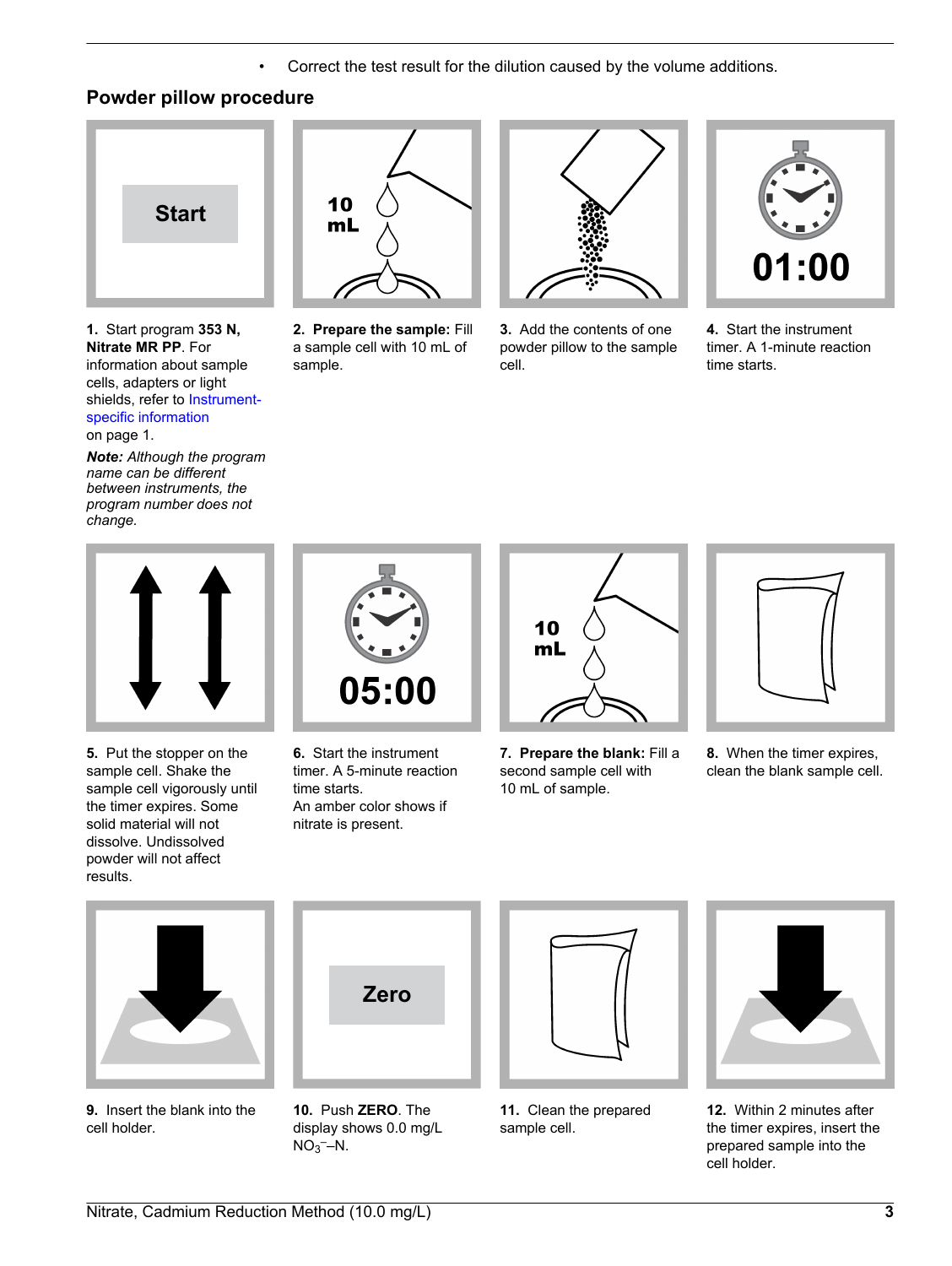• Correct the test result for the dilution caused by the volume additions.

## **Powder pillow procedure**



**1.** Start program **353 N, Nitrate MR PP**. For information about sample cells, adapters or light shields, refer to [Instrument](#page-0-2)[specific information](#page-0-2) on page 1.

*Note: Although the program name can be different between instruments, the program number does not change.*



**2. Prepare the sample:** Fill a sample cell with 10 mL of sample.



**3.** Add the contents of one powder pillow to the sample cell.



**4.** Start the instrument timer. A 1-minute reaction time starts.



**5.** Put the stopper on the sample cell. Shake the sample cell vigorously until the timer expires. Some solid material will not dissolve. Undissolved powder will not affect results.



**6.** Start the instrument timer. A 5-minute reaction time starts. An amber color shows if nitrate is present.



**7. Prepare the blank:** Fill a second sample cell with 10 mL of sample.



**8.** When the timer expires, clean the blank sample cell.



**9.** Insert the blank into the cell holder.



**10.** Push **ZERO**. The display shows 0.0 mg/L  $NO<sub>3</sub>$ –N.



**11.** Clean the prepared sample cell.



**12.** Within 2 minutes after the timer expires, insert the prepared sample into the cell holder.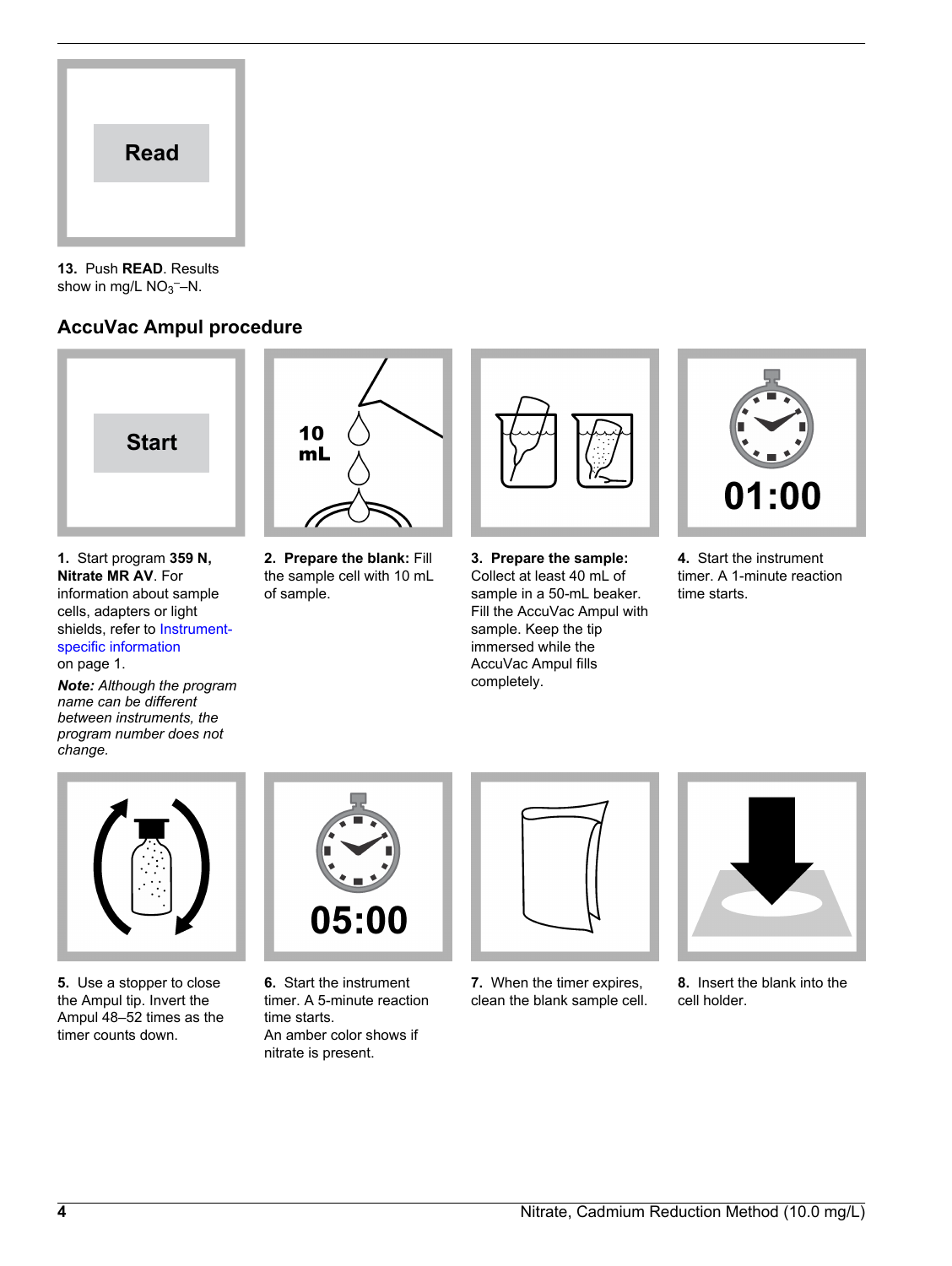

**13.** Push **READ**. Results show in mg/L  $NO<sub>3</sub>$  -N.

## **AccuVac Ampul procedure**



**1.** Start program **359 N, Nitrate MR AV**. For information about sample cells, adapters or light shields, refer to [Instrument](#page-0-2)[specific information](#page-0-2) on page 1.

*Note: Although the program name can be different between instruments, the program number does not change.*



**2. Prepare the blank:** Fill the sample cell with 10 mL of sample.



**3. Prepare the sample:** Collect at least 40 mL of sample in a 50-mL beaker. Fill the AccuVac Ampul with sample. Keep the tip immersed while the AccuVac Ampul fills completely.



**4.** Start the instrument timer. A 1-minute reaction time starts.



**5.** Use a stopper to close the Ampul tip. Invert the Ampul 48–52 times as the timer counts down.



**6.** Start the instrument timer. A 5-minute reaction time starts. An amber color shows if nitrate is present.



**7.** When the timer expires, clean the blank sample cell.



**8.** Insert the blank into the cell holder.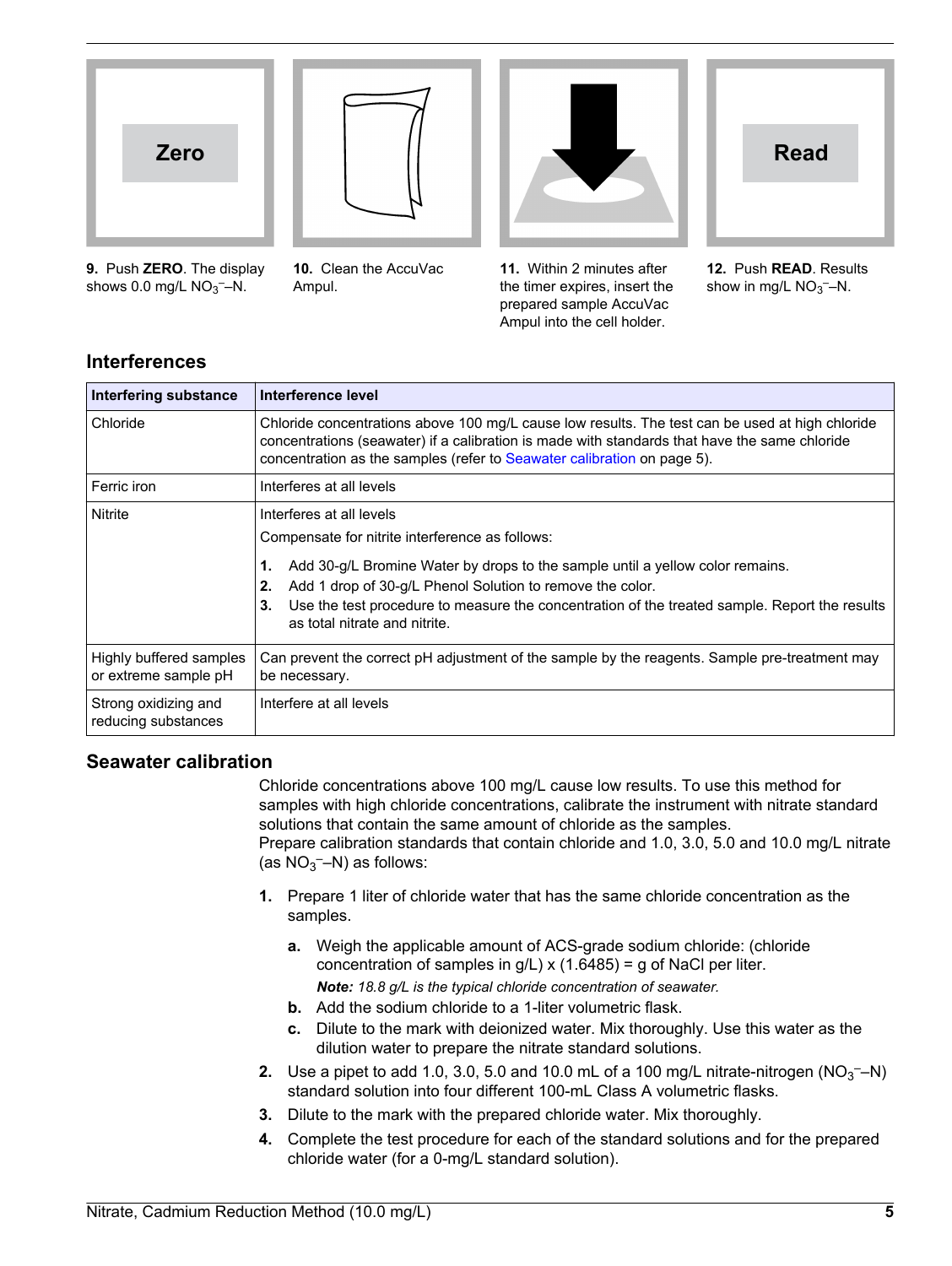



**9.** Push **ZERO**. The display shows  $0.0$  mg/L  $NO<sub>3</sub>$ –N.

**10.** Clean the AccuVac Ampul.



**11.** Within 2 minutes after the timer expires, insert the prepared sample AccuVac Ampul into the cell holder.



**12.** Push **READ**. Results show in mg/L  $NO<sub>3</sub>$  -N.

## **Interferences**

| Interfering substance                           | Interference level                                                                                                                                                                                                                                                                                                                                                            |  |
|-------------------------------------------------|-------------------------------------------------------------------------------------------------------------------------------------------------------------------------------------------------------------------------------------------------------------------------------------------------------------------------------------------------------------------------------|--|
| Chloride                                        | Chloride concentrations above 100 mg/L cause low results. The test can be used at high chloride<br>concentrations (seawater) if a calibration is made with standards that have the same chloride<br>concentration as the samples (refer to Seawater calibration on page 5).                                                                                                   |  |
| Ferric iron                                     | Interferes at all levels                                                                                                                                                                                                                                                                                                                                                      |  |
| Nitrite                                         | Interferes at all levels<br>Compensate for nitrite interference as follows:<br>Add 30-g/L Bromine Water by drops to the sample until a yellow color remains.<br>1.<br>2.<br>Add 1 drop of 30-g/L Phenol Solution to remove the color.<br>Use the test procedure to measure the concentration of the treated sample. Report the results<br>3.<br>as total nitrate and nitrite. |  |
| Highly buffered samples<br>or extreme sample pH | Can prevent the correct pH adjustment of the sample by the reagents. Sample pre-treatment may<br>be necessary.                                                                                                                                                                                                                                                                |  |
| Strong oxidizing and<br>reducing substances     | Interfere at all levels                                                                                                                                                                                                                                                                                                                                                       |  |

## <span id="page-4-0"></span>**Seawater calibration**

Chloride concentrations above 100 mg/L cause low results. To use this method for samples with high chloride concentrations, calibrate the instrument with nitrate standard solutions that contain the same amount of chloride as the samples. Prepare calibration standards that contain chloride and 1.0, 3.0, 5.0 and 10.0 mg/L nitrate (as  $NO_3$ <sup>-</sup>-N) as follows:

- **1.** Prepare 1 liter of chloride water that has the same chloride concentration as the samples.
	- **a.** Weigh the applicable amount of ACS-grade sodium chloride: (chloride concentration of samples in  $g/L$ ) x (1.6485) = g of NaCl per liter. *Note: 18.8 g/L is the typical chloride concentration of seawater.*
	- **b.** Add the sodium chloride to a 1-liter volumetric flask.
	- **c.** Dilute to the mark with deionized water. Mix thoroughly. Use this water as the dilution water to prepare the nitrate standard solutions.
- **2.** Use a pipet to add 1.0, 3.0, 5.0 and 10.0 mL of a 100 mg/L nitrate-nitrogen  $(NO<sub>3</sub> N)$ standard solution into four different 100-mL Class A volumetric flasks.
- **3.** Dilute to the mark with the prepared chloride water. Mix thoroughly.
- **4.** Complete the test procedure for each of the standard solutions and for the prepared chloride water (for a 0-mg/L standard solution).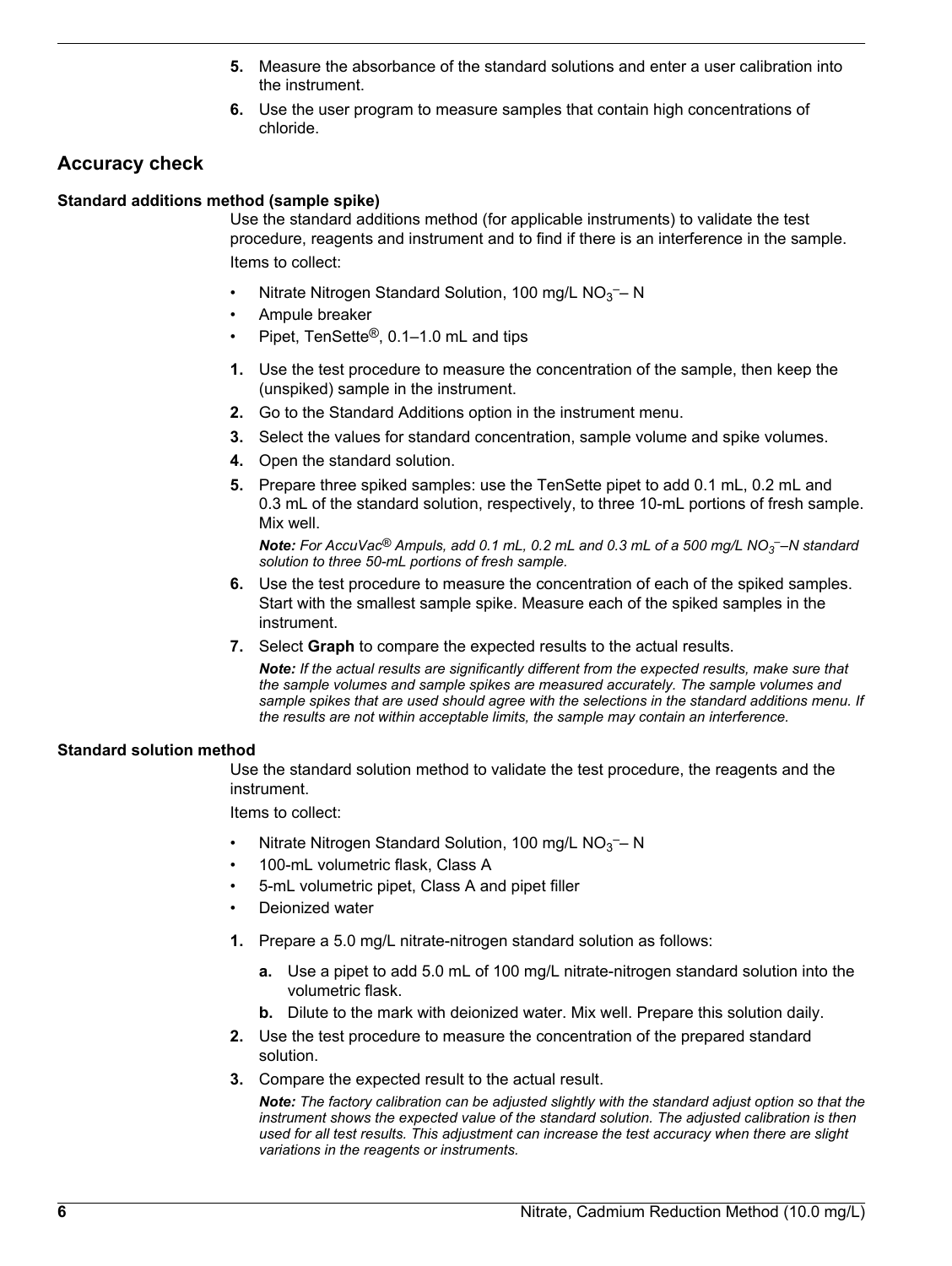- **5.** Measure the absorbance of the standard solutions and enter a user calibration into the instrument.
- **6.** Use the user program to measure samples that contain high concentrations of chloride.

## **Accuracy check**

#### **Standard additions method (sample spike)**

Use the standard additions method (for applicable instruments) to validate the test procedure, reagents and instrument and to find if there is an interference in the sample. Items to collect:

- Nitrate Nitrogen Standard Solution, 100 mg/L  $NO<sub>3</sub>$  N
- Ampule breaker
- Pipet, TenSette®, 0.1–1.0 mL and tips
- **1.** Use the test procedure to measure the concentration of the sample, then keep the (unspiked) sample in the instrument.
- **2.** Go to the Standard Additions option in the instrument menu.
- **3.** Select the values for standard concentration, sample volume and spike volumes.
- **4.** Open the standard solution.
- **5.** Prepare three spiked samples: use the TenSette pipet to add 0.1 mL, 0.2 mL and 0.3 mL of the standard solution, respectively, to three 10-mL portions of fresh sample. Mix well.

*Note: For AccuVac® Ampuls, add 0.1 mL, 0.2 mL and 0.3 mL of a 500 mg/L NO<sup>3</sup> ––N standard solution to three 50-mL portions of fresh sample.*

- **6.** Use the test procedure to measure the concentration of each of the spiked samples. Start with the smallest sample spike. Measure each of the spiked samples in the instrument.
- **7.** Select **Graph** to compare the expected results to the actual results.

*Note: If the actual results are significantly different from the expected results, make sure that the sample volumes and sample spikes are measured accurately. The sample volumes and sample spikes that are used should agree with the selections in the standard additions menu. If the results are not within acceptable limits, the sample may contain an interference.*

#### **Standard solution method**

Use the standard solution method to validate the test procedure, the reagents and the instrument.

Items to collect:

- Nitrate Nitrogen Standard Solution, 100 mg/L  $NO<sub>3</sub>$  N
- 100-mL volumetric flask, Class A
- 5-mL volumetric pipet, Class A and pipet filler
- Deionized water
- **1.** Prepare a 5.0 mg/L nitrate-nitrogen standard solution as follows:
	- **a.** Use a pipet to add 5.0 mL of 100 mg/L nitrate-nitrogen standard solution into the volumetric flask.
	- **b.** Dilute to the mark with deionized water. Mix well. Prepare this solution daily.
- **2.** Use the test procedure to measure the concentration of the prepared standard solution.
- **3.** Compare the expected result to the actual result.

*Note: The factory calibration can be adjusted slightly with the standard adjust option so that the instrument shows the expected value of the standard solution. The adjusted calibration is then used for all test results. This adjustment can increase the test accuracy when there are slight variations in the reagents or instruments.*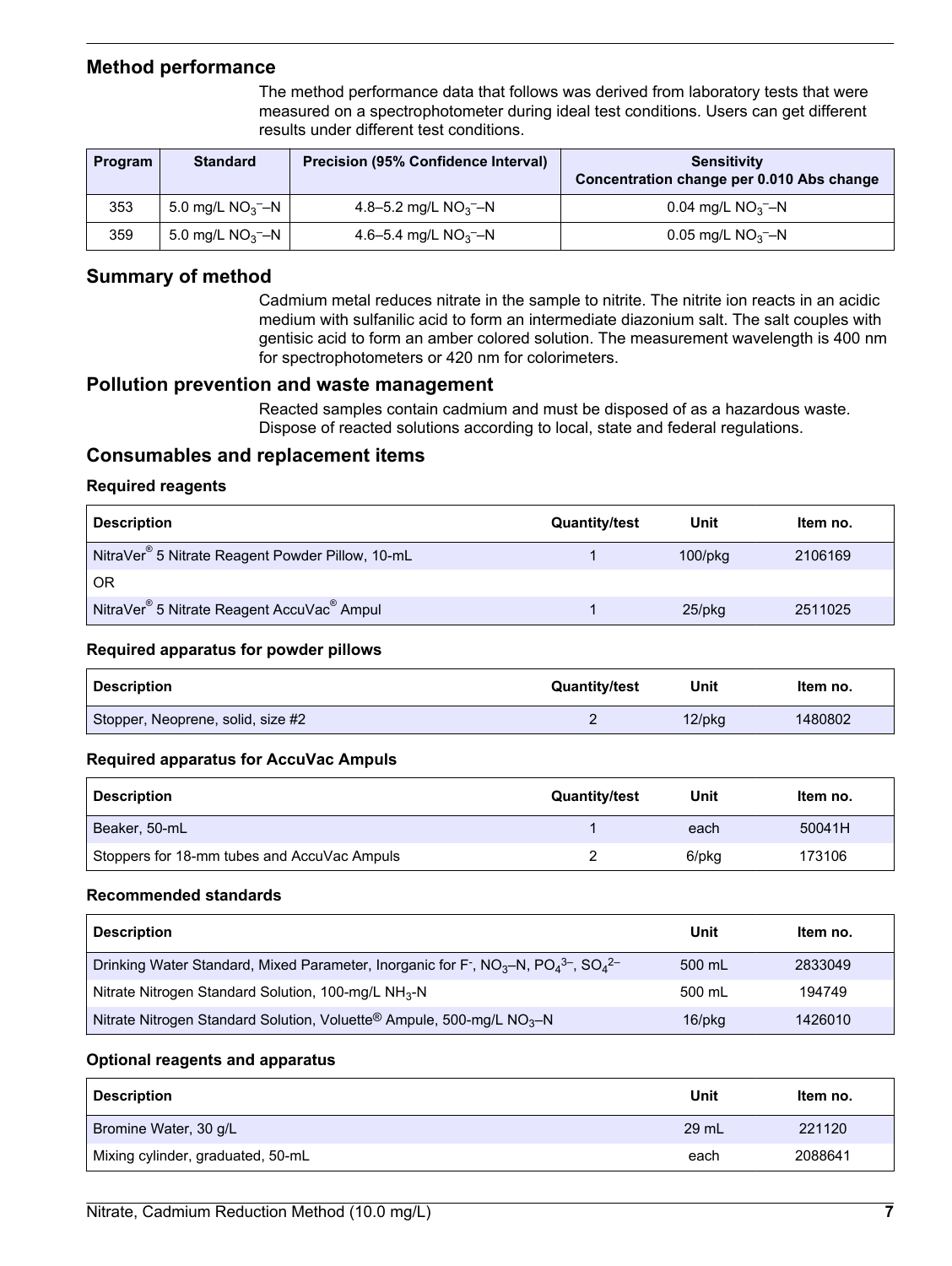## **Method performance**

The method performance data that follows was derived from laboratory tests that were measured on a spectrophotometer during ideal test conditions. Users can get different results under different test conditions.

<span id="page-6-0"></span>

| <b>Program</b> | <b>Standard</b>                 | <b>Precision (95% Confidence Interval)</b> | <b>Sensitivity</b><br>Concentration change per 0.010 Abs change |
|----------------|---------------------------------|--------------------------------------------|-----------------------------------------------------------------|
| 353            | 5.0 mg/L $NO3$ –N               | 4.8–5.2 mg/L $NO3$ –N                      | 0.04 mg/L $NO3$ –N                                              |
| 359            | 5.0 mg/L $NO_3$ <sup>-</sup> -N | 4.6–5.4 mg/L $NO3$ –N                      | 0.05 mg/L $NO3$ –N                                              |

## **Summary of method**

Cadmium metal reduces nitrate in the sample to nitrite. The nitrite ion reacts in an acidic medium with sulfanilic acid to form an intermediate diazonium salt. The salt couples with gentisic acid to form an amber colored solution. The measurement wavelength is 400 nm for spectrophotometers or 420 nm for colorimeters.

### **Pollution prevention and waste management**

Reacted samples contain cadmium and must be disposed of as a hazardous waste. Dispose of reacted solutions according to local, state and federal regulations.

## **Consumables and replacement items**

#### **Required reagents**

| <b>Description</b>                                                 | <b>Quantity/test</b> | Unit          | ltem no. |
|--------------------------------------------------------------------|----------------------|---------------|----------|
| NitraVer <sup>®</sup> 5 Nitrate Reagent Powder Pillow, 10-mL       |                      | $100$ /p $kg$ | 2106169  |
| <b>OR</b>                                                          |                      |               |          |
| NitraVer <sup>®</sup> 5 Nitrate Reagent AccuVac <sup>®</sup> Ampul |                      | $25$ /pkq     | 2511025  |

#### **Required apparatus for powder pillows**

| <b>Description</b>                | <b>Quantity/test</b> | Unit   | Item no. |
|-----------------------------------|----------------------|--------|----------|
| Stopper, Neoprene, solid, size #2 |                      | 12/pkg | 1480802  |

#### **Required apparatus for AccuVac Ampuls**

| <b>Description</b>                          | <b>Quantity/test</b> | Unit  | Item no. |
|---------------------------------------------|----------------------|-------|----------|
| Beaker, 50-mL                               |                      | each  | 50041H   |
| Stoppers for 18-mm tubes and AccuVac Ampuls |                      | 6/pkg | 173106   |

#### **Recommended standards**

| <b>Description</b>                                                                                                                                         | Unit   | Item no. |
|------------------------------------------------------------------------------------------------------------------------------------------------------------|--------|----------|
| Drinking Water Standard, Mixed Parameter, Inorganic for F <sup>-</sup> , NO <sub>3</sub> -N, PO <sub>4</sub> <sup>3-</sup> , SO <sub>4</sub> <sup>2-</sup> | 500 mL | 2833049  |
| Nitrate Nitrogen Standard Solution, 100-mg/L NH <sub>3</sub> -N                                                                                            | 500 mL | 194749   |
| Nitrate Nitrogen Standard Solution, Voluette <sup>®</sup> Ampule, 500-mg/L NO <sub>3</sub> -N                                                              | 16/pkg | 1426010  |

#### **Optional reagents and apparatus**

| <b>Description</b>                | Unit  | Item no. |
|-----------------------------------|-------|----------|
| Bromine Water, 30 g/L             | 29 mL | 221120   |
| Mixing cylinder, graduated, 50-mL | each  | 2088641  |